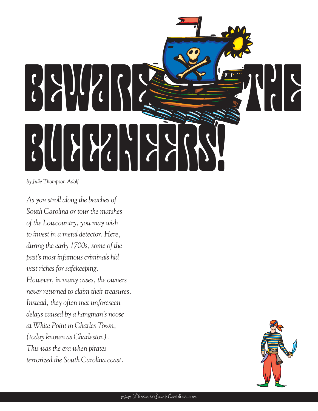

*by Julie Thompson Adolf*

*As you stroll along the beaches of South Carolina or tour the marshes of the Lowcountry, you may wish to invest in a metal detector. Here, during the early 1700s, some of the past's most infamous criminals hid vast riches for safekeeping. However, in many cases, the owners never returned to claim their treasures. Instead, they often met unforeseen delays caused by a hangman's noose at White Point in Charles Town, (today known as Charleston). This was the era when pirates terrorized the South Carolina coast.*